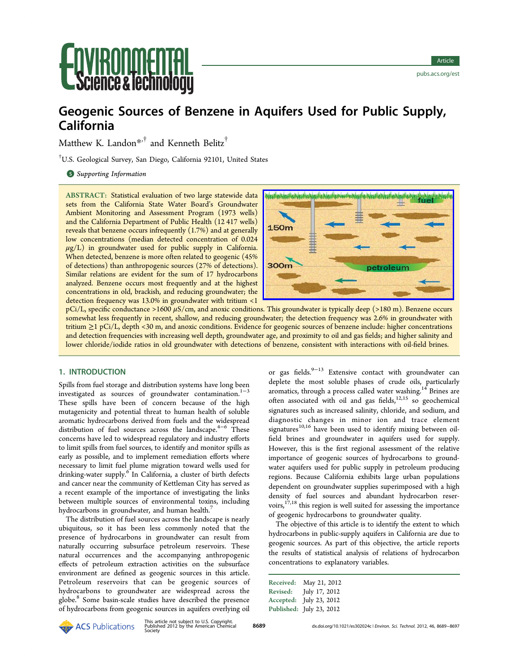

# Geogenic Sources of Benzene in Aquifers Used for Public Supply, California

Matthew K. Landon\*, $\dagger$  and Kenneth Belitz<sup>†</sup>

† U.S. Geological Survey, San Diego, California 92101, United States

**S** Supporting Information

ABSTRACT: Statistical evaluation of two large statewide data sets from the California State Water Board's Groundwater Ambient Monitoring and Assessment Program (1973 wells) and the California Department of Public Health (12 417 wells) reveals that benzene occurs infrequently (1.7%) and at generally low concentrations (median detected concentration of 0.024  $\mu$ g/L) in groundwater used for public supply in California. When detected, benzene is more often related to geogenic (45% of detections) than anthropogenic sources (27% of detections). Similar relations are evident for the sum of 17 hydrocarbons analyzed. Benzene occurs most frequently and at the highest concentrations in old, brackish, and reducing groundwater; the detection frequency was 13.0% in groundwater with tritium <1



pCi/L, specific conductance >1600 μS/cm, and anoxic conditions. This groundwater is typically deep (>180 m). Benzene occurs somewhat less frequently in recent, shallow, and reducing groundwater; the detection frequency was 2.6% in groundwater with tritium ≥1 pCi/L, depth <30 m, and anoxic conditions. Evidence for geogenic sources of benzene include: higher concentrations and detection frequencies with increasing well depth, groundwater age, and proximity to oil and gas fields; and higher salinity and lower chloride/iodide ratios in old groundwater with detections of benzene, consistent with interactions with oil-field brines.

### 1. INTRODUCTION

Spills from fuel storage and distribution systems have long been investigated as sources of groundwater contamination.1−<sup>3</sup> These spills have been of concern because of the high mutagenicity and potential threat to human health of soluble aromatic hydrocarbons derived from fuels and the widespread distribution of fuel sources across the landscape.<sup>4−6</sup> These concerns have led to widespread regulatory and industry efforts to limit spills from fuel sources, to identify and monitor spills as early as possible, and to implement remediation efforts where necessary to limit fuel plume migration toward wells used for drinking-water supply.<sup>6</sup> In California, a cluster of birth defects and cancer near the community of Kettleman City has served as a recent example of the importance of investigating the links between multiple sources of environmental toxins, including hydrocarbons in groundwater, and human health.<sup>7</sup>

The distribution of fuel sources across the landscape is nearly ubiquitous, so it has been less commonly noted that the presence of hydrocarbons in groundwater can result from naturally occurring subsurface petroleum reservoirs. These natural occurrences and the accompanying anthropogenic effects of petroleum extraction activities on the subsurface environment are defined as geogenic sources in this article. Petroleum reservoirs that can be geogenic sources of hydrocarbons to groundwater are widespread across the globe.<sup>8</sup> Some basin-scale studies have described the presence of hydrocarbons from geogenic sources in aquifers overlying oil

or gas fields.<sup>9-13</sup> Extensive contact with groundwater can deplete the most soluble phases of crude oils, particularly aromatics, through a process called water washing.<sup>14</sup> Brines are often associated with oil and gas fields, $12,15$  so geochemical signatures such as increased salinity, chloride, and sodium, and diagnostic changes in minor ion and trace element signatures $10,16$  have been used to identify mixing between oilfield brines and groundwater in aquifers used for supply. However, this is the first regional assessment of the relative importance of geogenic sources of hydrocarbons to groundwater aquifers used for public supply in petroleum producing regions. Because California exhibits large urban populations dependent on groundwater supplies superimposed with a high density of fuel sources and abundant hydrocarbon reservoirs, $17,18$  this region is well suited for assessing the importance of geogenic hydrocarbons to groundwater quality.

The objective of this article is to identify the extent to which hydrocarbons in public-supply aquifers in California are due to geogenic sources. As part of this objective, the article reports the results of statistical analysis of relations of hydrocarbon concentrations to explanatory variables.

| Received:  | May 21, 2012  |
|------------|---------------|
| Revised:   | July 17, 2012 |
| Accepted:  | July 23, 2012 |
| Published: | July 23, 2012 |

**ACS** Publications

This article not subject to U.S. Copyright. Published 2012 by the American Chemical Society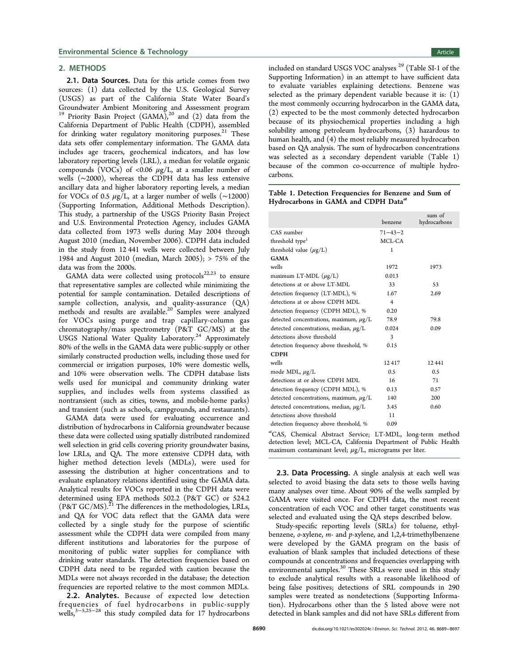#### Environmental Science & Technology Article 3 and 2008 and 2008 and 2008 and 2008 and 2008 and 2008 and 2008 and

# 2. METHODS

2.1. Data Sources. Data for this article comes from two sources: (1) data collected by the U.S. Geological Survey (USGS) as part of the California State Water Board's Groundwater Ambient Monitoring and Assessment program<br><sup>19</sup> Priority Basin Project (GAMA),<sup>20</sup> and (2) data from the California Department of Public Health (CDPH), assembled for drinking water regulatory monitoring purposes. $21$  These data sets offer complementary information. The GAMA data includes age tracers, geochemical indicators, and has low laboratory reporting levels (LRL), a median for volatile organic compounds (VOCs) of <0.06  $\mu$ g/L, at a smaller number of wells (∼2000), whereas the CDPH data has less extensive ancillary data and higher laboratory reporting levels, a median for VOCs of 0.5  $\mu$ g/L, at a larger number of wells (~12000) (Supporting Information, Additional Methods Description). This study, a partnership of the USGS Priority Basin Project and U.S. Environmental Protection Agency, includes GAMA data collected from 1973 wells during May 2004 through August 2010 (median, November 2006). CDPH data included in the study from 12 441 wells were collected between July 1984 and August 2010 (median, March 2005); > 75% of the data was from the 2000s.

GAMA data were collected using protocols $22,23$  to ensure that representative samples are collected while minimizing the potential for sample contamination. Detailed descriptions of sample collection, analysis, and quality-assurance (QA) methods and results are available.<sup>20</sup> Samples were analyzed for VOCs using purge and trap capillary-column gas chromatography/mass spectrometry (P&T GC/MS) at the USGS National Water Quality Laboratory.<sup>24</sup> Approximately 80% of the wells in the GAMA data were public-supply or other similarly constructed production wells, including those used for commercial or irrigation purposes, 10% were domestic wells, and 10% were observation wells. The CDPH database lists wells used for municipal and community drinking water supplies, and includes wells from systems classified as nontransient (such as cities, towns, and mobile-home parks) and transient (such as schools, campgrounds, and restaurants).

GAMA data were used for evaluating occurrence and distribution of hydrocarbons in California groundwater because these data were collected using spatially distributed randomized well selection in grid cells covering priority groundwater basins, low LRLs, and QA. The more extensive CDPH data, with higher method detection levels (MDLs), were used for assessing the distribution at higher concentrations and to evaluate explanatory relations identified using the GAMA data. Analytical results for VOCs reported in the CDPH data were determined using EPA methods 502.2 (P&T GC) or 524.2 (P&T GC/MS).<sup>21</sup> The differences in the methodologies, LRLs, and QA for VOC data reflect that the GAMA data were collected by a single study for the purpose of scientific assessment while the CDPH data were compiled from many different institutions and laboratories for the purpose of monitoring of public water supplies for compliance with drinking water standards. The detection frequencies based on CDPH data need to be regarded with caution because the MDLs were not always recorded in the database; the detection frequencies are reported relative to the most common MDLs.

2.2. Analytes. Because of expected low detection frequencies of fuel hydrocarbons in public-supply<br>wells,<sup>3–5,25–28</sup> this study compiled data for 17 hydrocarbons

included on standard USGS VOC analyses <sup>29</sup> (Table SI-1 of the Supporting Information) in an attempt to have sufficient data to evaluate variables explaining detections. Benzene was selected as the primary dependent variable because it is: (1) the most commonly occurring hydrocarbon in the GAMA data, (2) expected to be the most commonly detected hydrocarbon because of its physiochemical properties including a high solubility among petroleum hydrocarbons, (3) hazardous to human health, and (4) the most reliably measured hydrocarbon based on QA analysis. The sum of hydrocarbon concentrations was selected as a secondary dependent variable (Table 1) because of the common co-occurrence of multiple hydrocarbons.

| Table 1. Detection Frequencies for Benzene and Sum of |  |
|-------------------------------------------------------|--|
| Hydrocarbons in GAMA and CDPH Data <sup>a</sup>       |  |

|                                             | benzene        | sum of<br>hydrocarbons |
|---------------------------------------------|----------------|------------------------|
| CAS number                                  | $71 - 43 - 2$  |                        |
| threshold type <sup>1</sup>                 | MCL-CA         |                        |
| threshold value $(\mu g/L)$                 | 1              |                        |
| <b>GAMA</b>                                 |                |                        |
| wells                                       | 1972           | 1973                   |
| maximum LT-MDL $(\mu g/L)$                  | 0.013          |                        |
| detections at or above LT-MDL               | 33             | 53                     |
| detection frequency (LT-MDL), %             | 1.67           | 2.69                   |
| detections at or above CDPH MDL             | $\overline{4}$ |                        |
| detection frequency (CDPH MDL), %           | 0.20           |                        |
| detected concentrations, maximum, $\mu$ g/L | 78.9           | 79.8                   |
| detected concentrations, median, $\mu$ g/L  | 0.024          | 0.09                   |
| detections above threshold                  | 3              |                        |
| detection frequency above threshold, %      | 0.15           |                        |
| <b>CDPH</b>                                 |                |                        |
| wells                                       | 12417          | 12441                  |
| mode MDL, $\mu$ g/L                         | 0.5            | 0.5                    |
| detections at or above CDPH MDL             | 16             | 71                     |
| detection frequency (CDPH MDL), %           | 0.13           | 0.57                   |
| detected concentrations, maximum, $\mu$ g/L | 140            | 200                    |
| detected concentrations, median, $\mu$ g/L  | 3.45           | 0.60                   |
| detections above threshold                  | 11             |                        |
| detection frequency above threshold, %      | 0.09           |                        |

a CAS, Chemical Abstract Service; LT-MDL, long-term method detection level; MCL-CA, California Department of Public Health maximum contaminant level;  $\mu$ g/L, micrograms per liter.

2.3. Data Processing. A single analysis at each well was selected to avoid biasing the data sets to those wells having many analyses over time. About 90% of the wells sampled by GAMA were visited once. For CDPH data, the most recent concentration of each VOC and other target constituents was selected and evaluated using the QA steps described below.

Study-specific reporting levels (SRLs) for toluene, ethylbenzene, o-xylene, m- and p-xylene, and 1,2,4-trimethylbenzene were developed by the GAMA program on the basis of evaluation of blank samples that included detections of these compounds at concentrations and frequencies overlapping with environmental samples.<sup>30</sup> These SRLs were used in this study to exclude analytical results with a reasonable likelihood of being false positives; detections of SRL compounds in 290 samples were treated as nondetections (Supporting Information). Hydrocarbons other than the 5 listed above were not detected in blank samples and did not have SRLs different from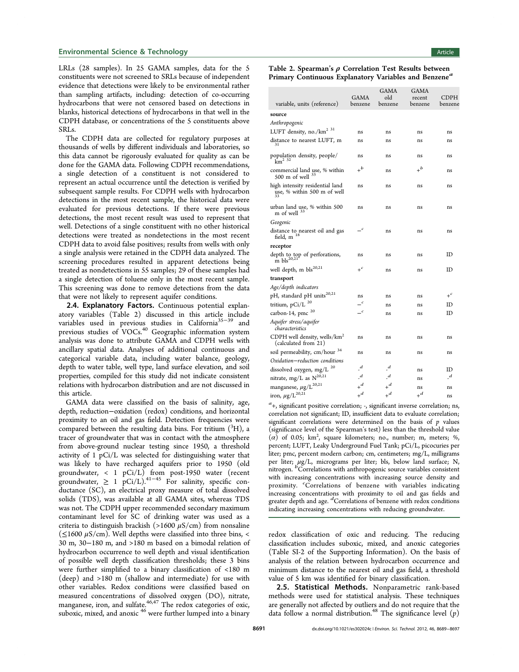#### Environmental Science & Technology Article 3 and 2008 and 2008 and 2008 and 2008 and 2008 and 2008 and 2008 and 2008 and 2008 and 2008 and 2008 and 2008 and 2008 and 2008 and 2008 and 2008 and 2008 and 2008 and 2008 and 20

LRLs (28 samples). In 25 GAMA samples, data for the 5 constituents were not screened to SRLs because of independent evidence that detections were likely to be environmental rather than sampling artifacts, including: detection of co-occurring hydrocarbons that were not censored based on detections in blanks, historical detections of hydrocarbons in that well in the CDPH database, or concentrations of the 5 constituents above SRLs.

The CDPH data are collected for regulatory purposes at thousands of wells by different individuals and laboratories, so this data cannot be rigorously evaluated for quality as can be done for the GAMA data. Following CDPH recommendations, a single detection of a constituent is not considered to represent an actual occurrence until the detection is verified by subsequent sample results. For CDPH wells with hydrocarbon detections in the most recent sample, the historical data were evaluated for previous detections. If there were previous detections, the most recent result was used to represent that well. Detections of a single constituent with no other historical detections were treated as nondetections in the most recent CDPH data to avoid false positives; results from wells with only a single analysis were retained in the CDPH data analyzed. The screening procedures resulted in apparent detections being treated as nondetections in 55 samples; 29 of these samples had a single detection of toluene only in the most recent sample. This screening was done to remove detections from the data that were not likely to represent aquifer conditions.

2.4. Explanatory Factors. Continuous potential explanatory variables (Table 2) discussed in this article include variables used in previous studies in California35−<sup>39</sup> and previous studies of VOCs.<sup>40</sup> Geographic information system analysis was done to attribute GAMA and CDPH wells with ancillary spatial data. Analyses of additional continuous and categorical variable data, including water balance, geology, depth to water table, well type, land surface elevation, and soil properties, compiled for this study did not indicate consistent relations with hydrocarbon distribution and are not discussed in this article.

GAMA data were classified on the basis of salinity, age, depth, reduction−oxidation (redox) conditions, and horizontal proximity to an oil and gas field. Detection frequencies were compared between the resulting data bins. For tritium  $(^{3}H)$ , a tracer of groundwater that was in contact with the atmosphere from above-ground nuclear testing since 1950, a threshold activity of 1 pCi/L was selected for distinguishing water that was likely to have recharged aquifers prior to 1950 (old groundwater, < 1 pCi/L) from post-1950 water (recent groundwater,  $\geq 1$  pCi/L).<sup>41–45</sup> For salinity, specific conductance (SC), an electrical proxy measure of total dissolved solids (TDS), was available at all GAMA sites, whereas TDS was not. The CDPH upper recommended secondary maximum contaminant level for SC of drinking water was used as a criteria to distinguish brackish (>1600  $\mu$ S/cm) from nonsaline  $(\leq1600 \mu\text{S/cm})$ . Well depths were classified into three bins, < 30 m, 30−180 m, and >180 m based on a bimodal relation of hydrocarbon occurrence to well depth and visual identification of possible well depth classification thresholds; these 3 bins were further simplified to a binary classification of <180 m (deep) and >180 m (shallow and intermediate) for use with other variables. Redox conditions were classified based on measured concentrations of dissolved oxygen (DO), nitrate, manganese, iron, and sulfate.<sup>46,47</sup> The redox categories of oxic, suboxic, mixed, and anoxic <sup>46</sup> were further lumped into a binary

Table 2. Spearman's  $\rho$  Correlation Test Results between Primary Continuous Explanatory Variables and Benzene<sup>a</sup>

|                                                                      | <b>GAMA</b>      | GAMA<br>old      | GAMA<br>recent   | CDPH                 |
|----------------------------------------------------------------------|------------------|------------------|------------------|----------------------|
| variable, units (reference)                                          | benzene          | benzene          | benzene          | benzene              |
| source                                                               |                  |                  |                  |                      |
| Anthropogenic                                                        |                  |                  |                  |                      |
| LUFT density, no./km <sup>2</sup> 31                                 | ns               | ns               | ns               | ns                   |
| distance to nearest LUFT, m<br>$\frac{31}{21}$                       | ns               | ns               | ns               | ns                   |
| population density, people/<br>$km^2$ <sup>32</sup>                  | ns               | ns               | ns               | ns                   |
| commercial land use, % within<br>500 m of well <sup>33</sup>         | $+^b$            | ns               | $+^b$            | ns                   |
| high intensity residential land<br>use, % within 500 m of well<br>33 | ns               | ns               | ns               | ns                   |
| urban land use, % within 500<br>m of well 33                         | ns               | ns               | ns               | ns                   |
| Geogenic                                                             |                  |                  |                  |                      |
| distance to nearest oil and gas<br>field, m <sup>18</sup>            | $-$ <sup>c</sup> | ns               | ns               | ns                   |
| receptor                                                             |                  |                  |                  |                      |
| depth to top of perforations,<br>m $bls^{20,21}$                     | ns               | ns               | ns               | ID                   |
| well depth, m bls <sup>20,21</sup>                                   | $+$ <sup>c</sup> | ns               | ns               | ID                   |
| transport                                                            |                  |                  |                  |                      |
| Age/depth indicators                                                 |                  |                  |                  |                      |
| pH, standard pH units <sup>20,21</sup>                               | ns               | ns               | ns               | $+$ <sup>c</sup>     |
| tritium, pCi/L $^{20}$                                               | $\mathbf{r}$     | ns               | ns               | ID                   |
| carbon-14, pmc <sup>20</sup>                                         | $\mathbf{r}$     | ns               | ns               | ID                   |
| Aquifer stress/aquifer<br>characteristics                            |                  |                  |                  |                      |
| CDPH well density, wells/km <sup>2</sup><br>(calculated from 21)     | ns               | ns               | ns               | ns                   |
| soil permeability, cm/hour <sup>34</sup>                             | ns               | ns               | ns               | ns                   |
| Oxidation–reduction conditions                                       |                  |                  |                  |                      |
| dissolved oxygen, mg/L                                               | $\mathcal{A}$    | $\mathcal{A}$    | ns               | ID                   |
| nitrate, mg/L as $\rm N^{20,21}$                                     | $\mathcal{A}$    | $\mathcal{A}$    | ns               | $\cdot$ <sup>d</sup> |
| manganese, $\mu\mathrm{g/L}^{20,21}$                                 | $+$ <sup>d</sup> | $+$ <sup>d</sup> | ns               | ns                   |
| iron, $\mu\text{g/L}^{20,21}$                                        | $+$ <sup>d</sup> | $+$ <sup>d</sup> | $+$ <sup>d</sup> | ns                   |

<sup>a</sup>+, significant positive correlation; -, significant inverse correlation; ns, correlation not significant; ID, insufficient data to evaluate correlation; significant correlations were determined on the basis of  $p$  values (significance level of the Spearman's test) less than the threshold value  $(\alpha)$  of 0.05; km<sup>2</sup>, square kilometers; no., number; m, meters; %, percent; LUFT, Leaky Underground Fuel Tank; pCi/L, picocuries per liter; pmc, percent modern carbon; cm, centimeters; mg/L, milligrams per liter; μg/L, micrograms per liter; bls, below land surface; N, nitrogen. <sup>b</sup>Correlations with anthropogenic source variables consistent with increasing concentrations with increasing source density and proximity. <sup>c</sup> Correlations of benzene with variables indicating increasing concentrations with proximity to oil and gas fields and greater depth and age. <sup>d</sup>Correlations of benzene with redox conditions indicating increasing concentrations with reducing groundwater.

redox classification of oxic and reducing. The reducing classification includes suboxic, mixed, and anoxic categories (Table SI-2 of the Supporting Information). On the basis of analysis of the relation between hydrocarbon occurrence and minimum distance to the nearest oil and gas field, a threshold value of 5 km was identified for binary classification.

2.5. Statistical Methods. Nonparametric rank-based methods were used for statistical analysis. These techniques are generally not affected by outliers and do not require that the data follow a normal distribution.<sup>48</sup> The significance level  $(p)$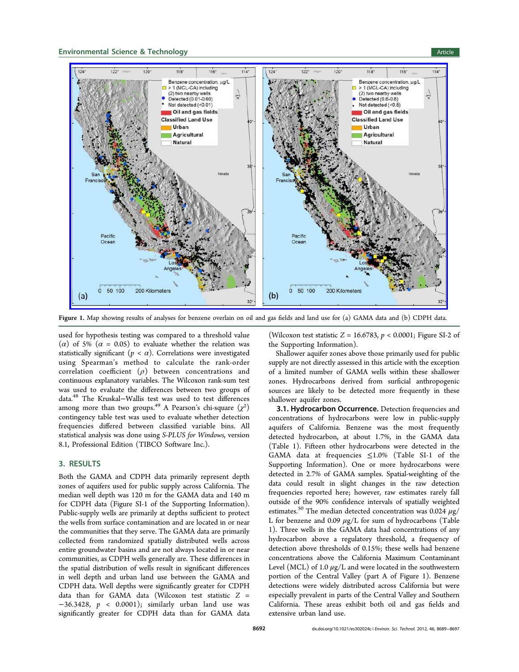# Environmental Science & Technology **Article** 2008 and 2008 and 2008 and 2008 and 2008 and 2008 and 2008 and 2008 and 2008 and 2008 and 2008 and 2008 and 2008 and 2008 and 2008 and 2008 and 2008 and 2008 and 2008 and 2008 a



Figure 1. Map showing results of analyses for benzene overlain on oil and gas fields and land use for (a) GAMA data and (b) CDPH data.

used for hypothesis testing was compared to a threshold value ( $\alpha$ ) of 5% ( $\alpha$  = 0.05) to evaluate whether the relation was statistically significant ( $p < \alpha$ ). Correlations were investigated using Spearman's method to calculate the rank-order correlation coefficient  $(\rho)$  between concentrations and continuous explanatory variables. The Wilcoxon rank-sum test was used to evaluate the differences between two groups of data.<sup>48</sup> The Kruskal−Wallis test was used to test differences among more than two groups.<sup>49</sup> A Pearson's chi-square  $(\chi^2)$ contingency table test was used to evaluate whether detection frequencies differed between classified variable bins. All statistical analysis was done using S-PLUS for Windows, version 8.1, Professional Edition (TIBCO Software Inc.).

# 3. RESULTS

Both the GAMA and CDPH data primarily represent depth zones of aquifers used for public supply across California. The median well depth was 120 m for the GAMA data and 140 m for CDPH data (Figure SI-1 of the Supporting Information). Public-supply wells are primarily at depths sufficient to protect the wells from surface contamination and are located in or near the communities that they serve. The GAMA data are primarily collected from randomized spatially distributed wells across entire groundwater basins and are not always located in or near communities, as CDPH wells generally are. These differences in the spatial distribution of wells result in significant differences in well depth and urban land use between the GAMA and CDPH data. Well depths were significantly greater for CDPH data than for GAMA data (Wilcoxon test statistic  $Z =$  $-36.3428$ ,  $p < 0.0001$ ); similarly urban land use was significantly greater for CDPH data than for GAMA data

(Wilcoxon test statistic  $Z = 16.6783$ ,  $p < 0.0001$ ; Figure SI-2 of the Supporting Information).

Shallower aquifer zones above those primarily used for public supply are not directly assessed in this article with the exception of a limited number of GAMA wells within these shallower zones. Hydrocarbons derived from surficial anthropogenic sources are likely to be detected more frequently in these shallower aquifer zones.

3.1. Hydrocarbon Occurrence. Detection frequencies and concentrations of hydrocarbons were low in public-supply aquifers of California. Benzene was the most frequently detected hydrocarbon, at about 1.7%, in the GAMA data (Table 1). Fifteen other hydrocarbons were detected in the GAMA data at frequencies ≤1.0% (Table SI-1 of the Supporting Information). One or more hydrocarbons were detected in 2.7% of GAMA samples. Spatial-weighting of the data could result in slight changes in the raw detection frequencies reported here; however, raw estimates rarely fall outside of the 90% confidence intervals of spatially weighted estimates.<sup>50</sup> The median detected concentration was 0.024  $\mu$ g/ L for benzene and 0.09  $\mu$ g/L for sum of hydrocarbons (Table 1). Three wells in the GAMA data had concentrations of any hydrocarbon above a regulatory threshold, a frequency of detection above thresholds of 0.15%; these wells had benzene concentrations above the California Maximum Contaminant Level (MCL) of 1.0  $\mu$ g/L and were located in the southwestern portion of the Central Valley (part A of Figure 1). Benzene detections were widely distributed across California but were especially prevalent in parts of the Central Valley and Southern California. These areas exhibit both oil and gas fields and extensive urban land use.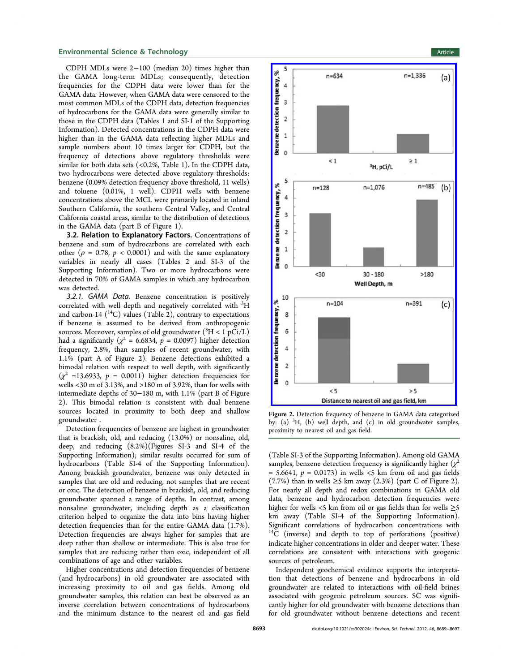CDPH MDLs were 2−100 (median 20) times higher than the GAMA long-term MDLs; consequently, detection frequencies for the CDPH data were lower than for the GAMA data. However, when GAMA data were censored to the most common MDLs of the CDPH data, detection frequencies of hydrocarbons for the GAMA data were generally similar to those in the CDPH data (Tables 1 and SI-1 of the Supporting Information). Detected concentrations in the CDPH data were higher than in the GAMA data reflecting higher MDLs and sample numbers about 10 times larger for CDPH, but the frequency of detections above regulatory thresholds were similar for both data sets (<0.2%, Table 1). In the CDPH data, two hydrocarbons were detected above regulatory thresholds: benzene (0.09% detection frequency above threshold, 11 wells) and toluene (0.01%, 1 well). CDPH wells with benzene concentrations above the MCL were primarily located in inland Southern California, the southern Central Valley, and Central California coastal areas, similar to the distribution of detections in the GAMA data (part B of Figure 1).

3.2. Relation to Explanatory Factors. Concentrations of benzene and sum of hydrocarbons are correlated with each other ( $\rho = 0.78$ ,  $p < 0.0001$ ) and with the same explanatory variables in nearly all cases (Tables 2 and SI-3 of the Supporting Information). Two or more hydrocarbons were detected in 70% of GAMA samples in which any hydrocarbon was detected.

3.2.1. GAMA Data. Benzene concentration is positively correlated with well depth and negatively correlated with <sup>3</sup>H and carbon-14  $(^{14}C)$  values (Table 2), contrary to expectations if benzene is assumed to be derived from anthropogenic sources. Moreover, samples of old groundwater  $({}^{3}H< Ipci/L)$ had a significantly ( $\chi^2$  = 6.6834,  $p$  = 0.0097) higher detection frequency, 2.8%, than samples of recent groundwater, with 1.1% (part A of Figure 2). Benzene detections exhibited a bimodal relation with respect to well depth, with significantly  $(\chi^2$  =13.6933,  $p = 0.0011$ ) higher detection frequencies for wells <30 m of 3.13%, and >180 m of 3.92%, than for wells with intermediate depths of 30−180 m, with 1.1% (part B of Figure 2). This bimodal relation is consistent with dual benzene sources located in proximity to both deep and shallow groundwater .

Detection frequencies of benzene are highest in groundwater that is brackish, old, and reducing (13.0%) or nonsaline, old, deep, and reducing (8.2%)(Figures SI-3 and SI-4 of the Supporting Information); similar results occurred for sum of hydrocarbons (Table SI-4 of the Supporting Information). Among brackish groundwater, benzene was only detected in samples that are old and reducing, not samples that are recent or oxic. The detection of benzene in brackish, old, and reducing groundwater spanned a range of depths. In contrast, among nonsaline groundwater, including depth as a classification criterion helped to organize the data into bins having higher detection frequencies than for the entire GAMA data (1.7%). Detection frequencies are always higher for samples that are deep rather than shallow or intermediate. This is also true for samples that are reducing rather than oxic, independent of all combinations of age and other variables.

Higher concentrations and detection frequencies of benzene (and hydrocarbons) in old groundwater are associated with increasing proximity to oil and gas fields. Among old groundwater samples, this relation can best be observed as an inverse correlation between concentrations of hydrocarbons and the minimum distance to the nearest oil and gas field



Figure 2. Detection frequency of benzene in GAMA data categorized by: (a) <sup>3</sup> H, (b) well depth, and (c) in old groundwater samples, proximity to nearest oil and gas field.

(Table SI-3 of the Supporting Information). Among old GAMA samples, benzene detection frequency is significantly higher  $(\chi^2)$  $= 5.6641$ ,  $p = 0.0173$ ) in wells <5 km from oil and gas fields (7.7%) than in wells  $\geq$ 5 km away (2.3%) (part C of Figure 2). For nearly all depth and redox combinations in GAMA old data, benzene and hydrocarbon detection frequencies were higher for wells <5 km from oil or gas fields than for wells  $\geq$ 5 km away (Table SI-4 of the Supporting Information). Significant correlations of hydrocarbon concentrations with 14C (inverse) and depth to top of perforations (positive) indicate higher concentrations in older and deeper water. These correlations are consistent with interactions with geogenic sources of petroleum.

Independent geochemical evidence supports the interpretation that detections of benzene and hydrocarbons in old groundwater are related to interactions with oil-field brines associated with geogenic petroleum sources. SC was significantly higher for old groundwater with benzene detections than for old groundwater without benzene detections and recent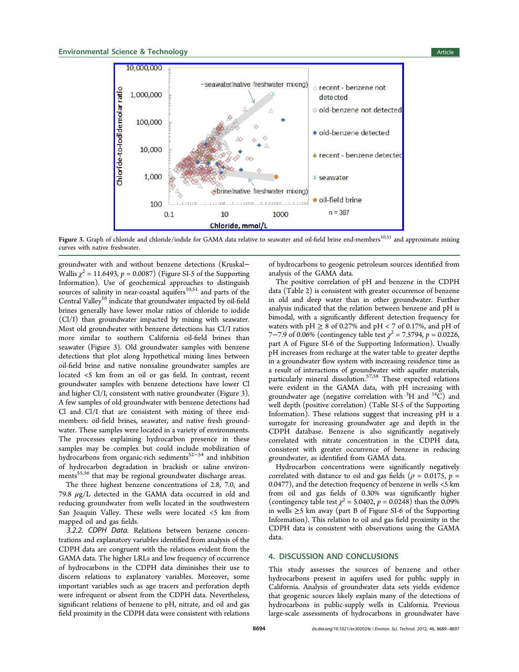# Environmental Science & Technology Article 3. And The Science & Technology Article 3. Article



Figure 3. Graph of chloride and chloride/iodide for GAMA data relative to seawater and oil-field brine end-members<sup>10,51</sup> and approximate mixing curves with native freshwater.

groundwater with and without benzene detections (Kruskal− Wallis  $\chi^2$  = 11.6493, p = 0.0087) (Figure SI-5 of the Supporting Information). Use of geochemical approaches to distinguish sources of salinity in near-coastal aquifers<sup>10,51</sup> and parts of the Central Valley<sup>16</sup> indicate that groundwater impacted by oil-field brines generally have lower molar ratios of chloride to iodide (Cl/I) than groundwater impacted by mixing with seawater. Most old groundwater with benzene detections has Cl/I ratios more similar to southern California oil-field brines than seawater (Figure 3). Old groundwater samples with benzene detections that plot along hypothetical mixing lines between oil-field brine and native nonsaline groundwater samples are located <5 km from an oil or gas field. In contrast, recent groundwater samples with benzene detections have lower Cl and higher Cl/I, consistent with native groundwater (Figure 3). A few samples of old groundwater with benzene detections had Cl and Cl/I that are consistent with mixing of three endmembers: oil-field brines, seawater, and native fresh groundwater. These samples were located in a variety of environments. The processes explaining hydrocarbon presence in these samples may be complex but could include mobilization of hydrocarbons from organic-rich sediments<sup>52–54</sup> and inhibition of hydrocarbon degradation in brackish or saline environments<sup>55,56</sup> that may be regional groundwater discharge areas.

The three highest benzene concentrations of 2.8, 7.0, and 79.8 μg/L detected in the GAMA data occurred in old and reducing groundwater from wells located in the southwestern San Joaquin Valley. These wells were located <5 km from mapped oil and gas fields.

3.2.2. CDPH Data. Relations between benzene concentrations and explanatory variables identified from analysis of the CDPH data are congruent with the relations evident from the GAMA data. The higher LRLs and low frequency of occurrence of hydrocarbons in the CDPH data diminishes their use to discern relations to explanatory variables. Moreover, some important variables such as age tracers and perforation depth were infrequent or absent from the CDPH data. Nevertheless, significant relations of benzene to pH, nitrate, and oil and gas field proximity in the CDPH data were consistent with relations

of hydrocarbons to geogenic petroleum sources identified from

analysis of the GAMA data. The positive correlation of pH and benzene in the CDPH data (Table 2) is consistent with greater occurrence of benzene in old and deep water than in other groundwater. Further analysis indicated that the relation between benzene and pH is bimodal, with a significantly different detection frequency for waters with pH  $\geq 8$  of 0.27% and pH < 7 of 0.17%, and pH of 7−7.9 of 0.06% (contingency table test  $\chi^2$  = 7.5794, p = 0.0226, part A of Figure SI-6 of the Supporting Information). Usually pH increases from recharge at the water table to greater depths in a groundwater flow system with increasing residence time as a result of interactions of groundwater with aquifer materials, particularly mineral dissolution.<sup>57,58</sup> These expected relations</sup> were evident in the GAMA data, with pH increasing with groundwater age (negative correlation with  ${}^{3}\text{H}$  and  ${}^{14}\text{C}$ ) and well depth (positive correlation) (Table SI-5 of the Supporting Information). These relations suggest that increasing pH is a surrogate for increasing groundwater age and depth in the CDPH database. Benzene is also significantly negatively correlated with nitrate concentration in the CDPH data, consistent with greater occurrence of benzene in reducing groundwater, as identified from GAMA data.

Hydrocarbon concentrations were significantly negatively correlated with distance to oil and gas fields ( $\rho = 0.0175$ ,  $p =$ 0.0477), and the detection frequency of benzene in wells <5 km from oil and gas fields of 0.30% was significantly higher (contingency table test  $\chi^2$  = 5.0402,  $p$  = 0.0248) than the 0.09% in wells ≥5 km away (part B of Figure SI-6 of the Supporting Information). This relation to oil and gas field proximity in the CDPH data is consistent with observations using the GAMA data.

# 4. DISCUSSION AND CONCLUSIONS

This study assesses the sources of benzene and other hydrocarbons present in aquifers used for public supply in California. Analysis of groundwater data sets yields evidence that geogenic sources likely explain many of the detections of hydrocarbons in public-supply wells in California. Previous large-scale assessments of hydrocarbons in groundwater have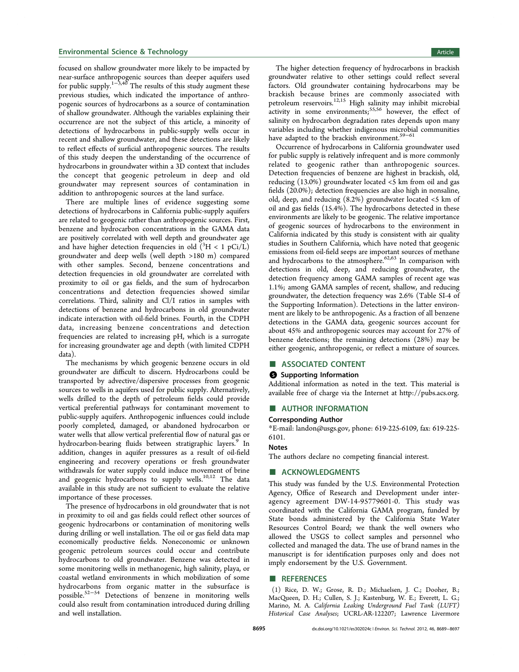# Environmental Science & Technology Article 3 and 2008 and 2008 and 2008 and 2008 and 2008 and 2008 and 2008 and 2008 and 2008 and 2008 and 2008 and 2008 and 2008 and 2008 and 2008 and 2008 and 2008 and 2008 and 2008 and 20

focused on shallow groundwater more likely to be impacted by near-surface anthropogenic sources than deeper aquifers used<br>for public supply.<sup>1−3,40</sup> The results of this study augment these previous studies, which indicated the importance of anthropogenic sources of hydrocarbons as a source of contamination of shallow groundwater. Although the variables explaining their occurrence are not the subject of this article, a minority of detections of hydrocarbons in public-supply wells occur in recent and shallow groundwater, and these detections are likely to reflect effects of surficial anthropogenic sources. The results of this study deepen the understanding of the occurrence of hydrocarbons in groundwater within a 3D context that includes the concept that geogenic petroleum in deep and old groundwater may represent sources of contamination in addition to anthropogenic sources at the land surface.

There are multiple lines of evidence suggesting some detections of hydrocarbons in California public-supply aquifers are related to geogenic rather than anthropogenic sources. First, benzene and hydrocarbon concentrations in the GAMA data are positively correlated with well depth and groundwater age and have higher detection frequencies in old  $(^{3}H < 1$  pCi/L) groundwater and deep wells (well depth >180 m) compared with other samples. Second, benzene concentrations and detection frequencies in old groundwater are correlated with proximity to oil or gas fields, and the sum of hydrocarbon concentrations and detection frequencies showed similar correlations. Third, salinity and Cl/I ratios in samples with detections of benzene and hydrocarbons in old groundwater indicate interaction with oil-field brines. Fourth, in the CDPH data, increasing benzene concentrations and detection frequencies are related to increasing pH, which is a surrogate for increasing groundwater age and depth (with limited CDPH data).

The mechanisms by which geogenic benzene occurs in old groundwater are difficult to discern. Hydrocarbons could be transported by advective/dispersive processes from geogenic sources to wells in aquifers used for public supply. Alternatively, wells drilled to the depth of petroleum fields could provide vertical preferential pathways for contaminant movement to public-supply aquifers. Anthropogenic influences could include poorly completed, damaged, or abandoned hydrocarbon or water wells that allow vertical preferential flow of natural gas or hydrocarbon-bearing fluids between stratigraphic layers.<sup>9</sup> In addition, changes in aquifer pressures as a result of oil-field engineering and recovery operations or fresh groundwater withdrawals for water supply could induce movement of brine and geogenic hydrocarbons to supply wells.10,12 The data available in this study are not sufficient to evaluate the relative importance of these processes.

The presence of hydrocarbons in old groundwater that is not in proximity to oil and gas fields could reflect other sources of geogenic hydrocarbons or contamination of monitoring wells during drilling or well installation. The oil or gas field data map economically productive fields. Noneconomic or unknown geogenic petroleum sources could occur and contribute hydrocarbons to old groundwater. Benzene was detected in some monitoring wells in methanogenic, high salinity, playa, or coastal wetland environments in which mobilization of some hydrocarbons from organic matter in the subsurface is possible.52−<sup>54</sup> Detections of benzene in monitoring wells could also result from contamination introduced during drilling and well installation.

The higher detection frequency of hydrocarbons in brackish groundwater relative to other settings could reflect several factors. Old groundwater containing hydrocarbons may be brackish because brines are commonly associated with petroleum reservoirs.12,15 High salinity may inhibit microbial activity in some environments;<sup>55,56</sup> however, the effect of salinity on hydrocarbon degradation rates depends upon many variables including whether indigenous microbial communities have adapted to the brackish environment.59−<sup>61</sup>

Occurrence of hydrocarbons in California groundwater used for public supply is relatively infrequent and is more commonly related to geogenic rather than anthropogenic sources. Detection frequencies of benzene are highest in brackish, old, reducing (13.0%) groundwater located <5 km from oil and gas fields (20.0%); detection frequencies are also high in nonsaline, old, deep, and reducing  $(8.2\%)$  groundwater located <5 km of oil and gas fields (15.4%). The hydrocarbons detected in these environments are likely to be geogenic. The relative importance of geogenic sources of hydrocarbons to the environment in California indicated by this study is consistent with air quality studies in Southern California, which have noted that geogenic emissions from oil-field seeps are important sources of methane and hydrocarbons to the atmosphere. $62,63$  In comparison with detections in old, deep, and reducing groundwater, the detection frequency among GAMA samples of recent age was 1.1%; among GAMA samples of recent, shallow, and reducing groundwater, the detection frequency was 2.6% (Table SI-4 of the Supporting Information). Detections in the latter environment are likely to be anthropogenic. As a fraction of all benzene detections in the GAMA data, geogenic sources account for about 45% and anthropogenic sources may account for 27% of benzene detections; the remaining detections (28%) may be either geogenic, anthropogenic, or reflect a mixture of sources.

#### ■ ASSOCIATED CONTENT

## **6** Supporting Information

Additional information as noted in the text. This material is available free of charge via the Internet at http://pubs.acs.org.

# ■ AUTHOR INFORMATION

#### Corresponding Author

\*E-mail: landon@usgs.gov, phone: 619-225-6109, fax: 619-225- 6101.

# **Notes**

The authors declare no competing financial interest.

#### ■ ACKNOWLEDGMENTS

This study was funded by the U.S. Environmental Protection Agency, Office of Research and Development under interagency agreement DW-14-95779601-0. This study was coordinated with the California GAMA program, funded by State bonds administered by the California State Water Resources Control Board; we thank the well owners who allowed the USGS to collect samples and personnel who collected and managed the data. The use of brand names in the manuscript is for identification purposes only and does not imply endorsement by the U.S. Government.

#### ■ REFERENCES

(1) Rice, D. W.; Grose, R. D.; Michaelsen, J. C.; Dooher, B.; MacQueen, D. H.; Cullen, S. J.; Kastenburg, W. E.; Everett, L. G.; Marino, M. A. California Leaking Underground Fuel Tank (LUFT) Historical Case Analyses; UCRL-AR-122207; Lawrence Livermore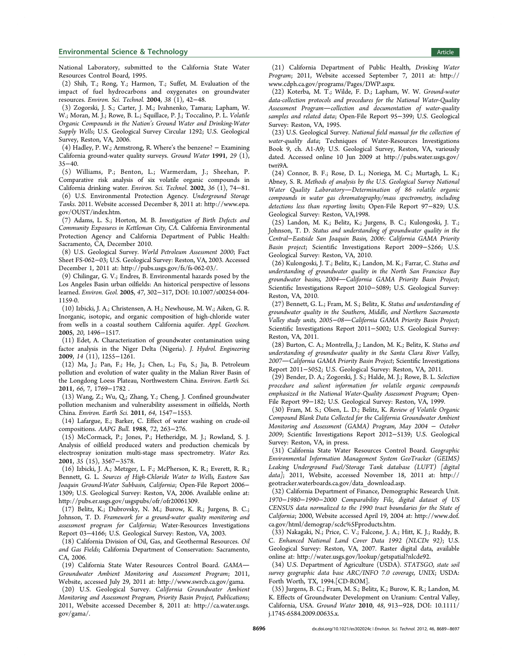#### Environmental Science & Technology Article 3 and 2008 and 2008 and 2008 and 2008 and 2008 and 2008 and 2008 and

National Laboratory, submitted to the California State Water Resources Control Board, 1995.

(2) Shih, T.; Rong, Y.; Harmon, T.; Suffet, M. Evaluation of the impact of fuel hydrocarbons and oxygenates on groundwater resources. Environ. Sci. Technol. 2004, 38 (1), 42−48.

(3) Zogorski, J. S.; Carter, J. M.; Ivahnenko, Tamara; Lapham, W. W.; Moran, M. J.; Rowe, B. L.; Squillace, P. J.; Toccalino, P. L. Volatile Organic Compounds in the Nation's Ground Water and Drinking-Water Supply Wells; U.S. Geological Survey Circular 1292; U.S. Geological Survey, Reston, VA, 2006.

(4) Hadley, P. W.; Armstrong, R. Where's the benzene? − Examining California ground-water quality surveys. Ground Water 1991, 29 (1), 35−40.

(5) Williams, P.; Benton, L.; Warmerdam, J.; Sheehan, P. Comparative risk analysis of six volatile organic compounds in California drinking water. Environ. Sci. Technol. 2002, 36 (1), 74−81.

(6) U.S. Environmental Protection Agency. Underground Storage Tanks. 2011. Website accessed December 8, 2011 at: http://www.epa. gov/OUST/index.htm.

(7) Adams, L. S.; Horton, M. B. Investigation of Birth Defects and Community Exposures in Kettleman City, CA. California Environmental Protection Agency and California Department of Public Health: Sacramento, CA, December 2010.

(8) U.S. Geological Survey. World Petroleum Assessment 2000; Fact Sheet FS-062−03; U.S. Geological Survey: Reston, VA, 2003. Accessed December 1, 2011 at: http://pubs.usgs.gov/fs/fs-062-03/.

(9) Chilingar, G. V.; Endres, B. Environmental hazards posed by the Los Angeles Basin urban oilfields: An historical perspective of lessons learned. Environ. Geol. 2005, 47, 302−317, DOI: 10.1007/s00254-004- 1159-0.

(10) Izbicki, J. A.; Christensen, A. H.; Newhouse, M. W.; Aiken, G. R. Inorganic, isotopic, and organic composition of high-chloride water from wells in a coastal southern California aquifer. Appl. Geochem. 2005, 20, 1496−1517.

(11) Edet, A. Characterization of groundwater contamination using factor analysis in the Niger Delta (Nigeria). J. Hydrol. Engineering 2009, 14 (11), 1255−1261.

(12) Ma, J.; Pan, F.; He, J.; Chen, L.; Fu, S.; Jia, B. Petroleum pollution and evolution of water quality in the Malian River Basin of the Longdong Loess Plateau, Northwestern China. Environ. Earth Sci. 2011, 66, 7, 1769−1782 .

(13) Wang, Z.; Wu, Q.; Zhang, Y.; Cheng, J. Confined groundwater pollution mechanism and vulnerability assessment in oilfields, North China. Environ. Earth Sci. 2011, 64, 1547−1553.

(14) Lafargue, E.; Barker, C. Effect of water washing on crude-oil compositions. AAPG Bull. 1988, 72, 263−276.

(15) McCormack, P.; Jones, P.; Hetheridge, M. J.; Rowland, S. J. Analysis of oilfield produced waters and production chemicals by electrospray ionization multi-stage mass spectrometry. Water Res. 2001, 35 (15), 3567−3578.

(16) Izbicki, J. A.; Metzger, L. F.; McPherson, K. R.; Everett, R. R.; Bennett, G. L. Sources of High-Chloride Water to Wells, Eastern San Joaquin Ground-Water Subbasin, California; Open-File Report 2006− 1309; U.S. Geological Survey: Reston, VA, 2006. Available online at: http://pubs.er.usgs.gov/usgspubs/ofr/ofr20061309.

(17) Belitz, K.; Dubrovsky, N. M.; Burow, K. R.; Jurgens, B. C.; Johnson, T. D. Framework for a ground-water quality monitoring and assessment program for California; Water-Resources Investigations Report 03−4166; U.S. Geological Survey: Reston, VA, 2003.

(18) California Division of Oil, Gas, and Geothermal Resources. Oil and Gas Fields; California Department of Conservation: Sacramento, CA, 2006.

(19) California State Water Resources Control Board. GAMA Groundwater Ambient Monitoring and Assessment Program; 2011, Website, accessed July 29, 2011 at: http://www.swrcb.ca.gov/gama.

(20) U.S. Geological Survey. California Groundwater Ambient Monitoring and Assessment Program, Priority Basin Project, Publications; 2011, Website accessed December 8, 2011 at: http://ca.water.usgs. gov/gama/.

(21) California Department of Public Health, Drinking Water Program; 2011, Website accessed September 7, 2011 at: http:// www.cdph.ca.gov/programs/Pages/DWP.aspx.

(22) Koterba, M. T.; Wilde, F. D.; Lapham, W. W. Ground-water data-collection protocols and procedures for the National Water-Quality Assessment Program-collection and documentation of water-quality samples and related data; Open-File Report 95−399; U.S. Geological Survey: Reston, VA, 1995.

(23) U.S. Geological Survey. National field manual for the collection of water-quality data; Techniques of Water-Resources Investigations Book 9, ch. A1-A9; U.S. Geological Survey, Reston, VA, variously dated. Accessed online 10 Jun 2009 at http://pubs.water.usgs.gov/ twri9A.

(24) Connor, B. F.; Rose, D. L.; Noriega, M. C.; Murtagh, L. K.; Abney, S. R. Methods of analysis by the U.S. Geological Survey National Water Quality Laboratory-Determination of 86 volatile organic compounds in water gas chromatography/mass spectrometry, including detections less than reporting limits; Open-File Report 97−829; U.S. Geological Survey: Reston, VA,1998.

(25) Landon, M. K.; Belitz, K.; Jurgens, B. C.; Kulongoski, J. T.; Johnson, T. D. Status and understanding of groundwater quality in the Central−Eastside San Joaquin Basin, 2006: California GAMA Priority Basin project; Scientific Investigations Report 2009−5266; U.S. Geological Survey: Reston, VA, 2010.

(26) Kulongoski, J. T.; Belitz, K.; Landon, M. K.; Farrar, C. Status and understanding of groundwater quality in the North San Francisco Bay groundwater basins, 2004-California GAMA Priority Basin Project; Scientific Investigations Report 2010−5089; U.S. Geological Survey: Reston, VA, 2010.

(27) Bennett, G. L.; Fram, M. S.; Belitz, K. Status and understanding of groundwater quality in the Southern, Middle, and Northern Sacramento Valley study units, 2005-08-California GAMA Priority Basin Project; Scientific Investigations Report 2011−5002; U.S. Geological Survey: Reston, VA, 2011.

(28) Burton, C. A.; Montrella, J.; Landon, M. K.; Belitz, K. Status and understanding of groundwater quality in the Santa Clara River Valley, 2007-California GAMA Priority Basin Project; Scientific Investigations Report 2011−5052; U.S. Geological Survey: Reston, VA, 2011.

(29) Bender, D. A.; Zogorski, J. S.; Halde, M. J.; Rowe, B. L. Selection procedure and salient information for volatile organic compounds emphasized in the National Water-Quality Assessment Program; Open-File Report 99−182; U.S. Geological Survey: Reston, VA, 1999.

(30) Fram, M. S.; Olsen, L. D.; Belitz, K. Review of Volatile Organic Compound Blank Data Collected for the California Groundwater Ambient Monitoring and Assessment (GAMA) Program, May 2004 − October 2009; Scientific Investigations Report 2012−5139; U.S. Geological Survey: Reston, VA, in press.

(31) California State Water Resources Control Board. Geographic Environmental Information Management System GeoTracker (GEIMS) Leaking Underground Fuel/Storage Tank database (LUFT) [digital data]; 2011, Website, accessed November 18, 2011 at: http:// geotracker.waterboards.ca.gov/data\_download.asp.

(32) California Department of Finance, Demographic Research Unit. 1970−1980−1990−2000 Comparability File, digital dataset of US CENSUS data normalized to the 1990 tract boundaries for the State of California; 2000, Website accessed April 19, 2004 at: http://www.dof. ca.gov/html/demograp/scdc%5Fproducts.htm.

(33) Nakagaki, N.; Price, C. V.; Falcone, J. A.; Hitt, K. J.; Ruddy, B. C. Enhanced National Land Cover Data 1992 (NLCDe 92); U.S. Geological Survey: Reston, VA, 2007. Raster digital data, available online at: http://water.usgs.gov/lookup/getspatial?nlcde92.

(34) U.S. Department of Agriculture (USDA). STATSGO, state soil survey geographic data base ARC/INFO 7.0 coverage, UNIX; USDA: Forth Worth, TX, 1994.[CD-ROM].

(35) Jurgens, B. C.; Fram, M. S.; Belitz, K.; Burow, K. R.; Landon, M. K. Effects of Groundwater Development on Uranium: Central Valley, California, USA. Ground Water 2010, 48, 913−928, DOI: 10.1111/ j.1745-6584.2009.00635.x.